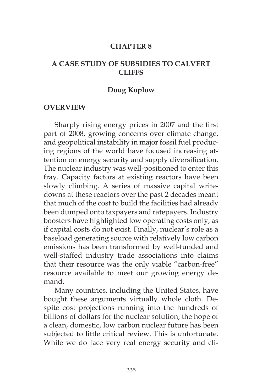#### **CHAPTER 8**

### **A CASE STUDY OF SUBSIDIES TO CALVERT CLIFFS**

#### **Doug Koplow**

#### **OVERVIEW**

Sharply rising energy prices in 2007 and the first part of 2008, growing concerns over climate change, and geopolitical instability in major fossil fuel producing regions of the world have focused increasing attention on energy security and supply diversification. The nuclear industry was well-positioned to enter this fray. Capacity factors at existing reactors have been slowly climbing. A series of massive capital writedowns at these reactors over the past 2 decades meant that much of the cost to build the facilities had already been dumped onto taxpayers and ratepayers. Industry boosters have highlighted low operating costs only, as if capital costs do not exist. Finally, nuclear's role as a baseload generating source with relatively low carbon emissions has been transformed by well-funded and well-staffed industry trade associations into claims that their resource was the only viable "carbon-free" resource available to meet our growing energy demand.

Many countries, including the United States, have bought these arguments virtually whole cloth. Despite cost projections running into the hundreds of billions of dollars for the nuclear solution, the hope of a clean, domestic, low carbon nuclear future has been subjected to little critical review. This is unfortunate. While we do face very real energy security and cli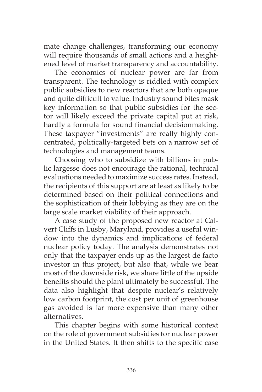mate change challenges, transforming our economy will require thousands of small actions and a heightened level of market transparency and accountability.

The economics of nuclear power are far from transparent. The technology is riddled with complex public subsidies to new reactors that are both opaque and quite difficult to value. Industry sound bites mask key information so that public subsidies for the sector will likely exceed the private capital put at risk, hardly a formula for sound financial decisionmaking. These taxpayer "investments" are really highly concentrated, politically-targeted bets on a narrow set of technologies and management teams.

Choosing who to subsidize with billions in public largesse does not encourage the rational, technical evaluations needed to maximize success rates. Instead, the recipients of this support are at least as likely to be determined based on their political connections and the sophistication of their lobbying as they are on the large scale market viability of their approach.

A case study of the proposed new reactor at Calvert Cliffs in Lusby, Maryland, provides a useful window into the dynamics and implications of federal nuclear policy today. The analysis demonstrates not only that the taxpayer ends up as the largest de facto investor in this project, but also that, while we bear most of the downside risk, we share little of the upside benefits should the plant ultimately be successful. The data also highlight that despite nuclear's relatively low carbon footprint, the cost per unit of greenhouse gas avoided is far more expensive than many other alternatives.

This chapter begins with some historical context on the role of government subsidies for nuclear power in the United States. It then shifts to the specific case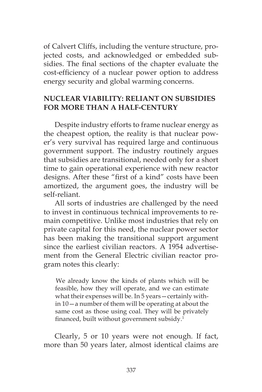of Calvert Cliffs, including the venture structure, projected costs, and acknowledged or embedded subsidies. The final sections of the chapter evaluate the cost-efficiency of a nuclear power option to address energy security and global warming concerns.

### **NUCLEAR VIABILITY: RELIANT ON SUBSIDIES FOR MORE THAN A HALF-CENTURY**

Despite industry efforts to frame nuclear energy as the cheapest option, the reality is that nuclear power's very survival has required large and continuous government support. The industry routinely argues that subsidies are transitional, needed only for a short time to gain operational experience with new reactor designs. After these "first of a kind" costs have been amortized, the argument goes, the industry will be self-reliant.

All sorts of industries are challenged by the need to invest in continuous technical improvements to remain competitive. Unlike most industries that rely on private capital for this need, the nuclear power sector has been making the transitional support argument since the earliest civilian reactors. A 1954 advertisement from the General Electric civilian reactor program notes this clearly:

We already know the kinds of plants which will be feasible, how they will operate, and we can estimate what their expenses will be. In 5 years—certainly within 10—a number of them will be operating at about the same cost as those using coal. They will be privately financed, built without government subsidy.1

Clearly, 5 or 10 years were not enough. If fact, more than 50 years later, almost identical claims are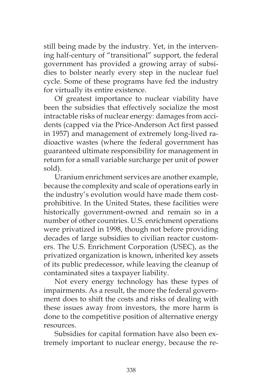still being made by the industry. Yet, in the intervening half-century of "transitional" support, the federal government has provided a growing array of subsidies to bolster nearly every step in the nuclear fuel cycle. Some of these programs have fed the industry for virtually its entire existence.

Of greatest importance to nuclear viability have been the subsidies that effectively socialize the most intractable risks of nuclear energy: damages from accidents (capped via the Price-Anderson Act first passed in 1957) and management of extremely long-lived radioactive wastes (where the federal government has guaranteed ultimate responsibility for management in return for a small variable surcharge per unit of power sold).

Uranium enrichment services are another example, because the complexity and scale of operations early in the industry's evolution would have made them costprohibitive. In the United States, these facilities were historically government-owned and remain so in a number of other countries. U.S. enrichment operations were privatized in 1998, though not before providing decades of large subsidies to civilian reactor customers. The U.S. Enrichment Corporation (USEC), as the privatized organization is known, inherited key assets of its public predecessor, while leaving the cleanup of contaminated sites a taxpayer liability.

Not every energy technology has these types of impairments. As a result, the more the federal government does to shift the costs and risks of dealing with these issues away from investors, the more harm is done to the competitive position of alternative energy resources.

Subsidies for capital formation have also been extremely important to nuclear energy, because the re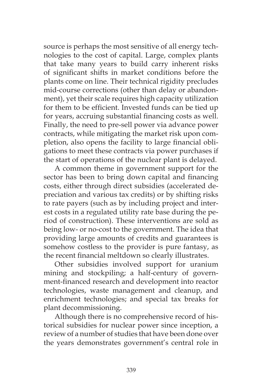source is perhaps the most sensitive of all energy technologies to the cost of capital. Large, complex plants that take many years to build carry inherent risks of significant shifts in market conditions before the plants come on line. Their technical rigidity precludes mid-course corrections (other than delay or abandonment), yet their scale requires high capacity utilization for them to be efficient. Invested funds can be tied up for years, accruing substantial financing costs as well. Finally, the need to pre-sell power via advance power contracts, while mitigating the market risk upon completion, also opens the facility to large financial obligations to meet these contracts via power purchases if the start of operations of the nuclear plant is delayed.

A common theme in government support for the sector has been to bring down capital and financing costs, either through direct subsidies (accelerated depreciation and various tax credits) or by shifting risks to rate payers (such as by including project and interest costs in a regulated utility rate base during the period of construction). These interventions are sold as being low- or no-cost to the government. The idea that providing large amounts of credits and guarantees is somehow costless to the provider is pure fantasy, as the recent financial meltdown so clearly illustrates.

Other subsidies involved support for uranium mining and stockpiling; a half-century of government-financed research and development into reactor technologies, waste management and cleanup, and enrichment technologies; and special tax breaks for plant decommissioning.

Although there is no comprehensive record of historical subsidies for nuclear power since inception, a review of a number of studies that have been done over the years demonstrates government's central role in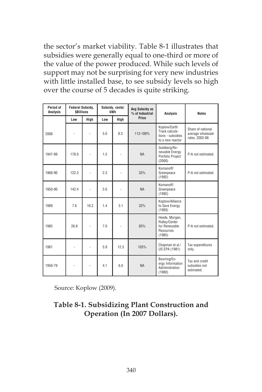the sector's market viability. Table 8-1 illustrates that subsidies were generally equal to one-third or more of the value of the power produced. While such levels of support may not be surprising for very new industries with little installed base, to see subsidy levels so high over the course of 5 decades is quite striking.

| Period of<br><b>Analysis</b> | <b>Federal Subsidy,</b><br><b><i>SBillions</i></b> |      | Subsidy, cents/<br>kWh |      | Avg Subsidy as<br>% of Industrial | <b>Analysis</b>                                                         | <b>Notes</b>                                             |  |
|------------------------------|----------------------------------------------------|------|------------------------|------|-----------------------------------|-------------------------------------------------------------------------|----------------------------------------------------------|--|
|                              | Low                                                | High | Low                    | Hiah | Price                             |                                                                         |                                                          |  |
| 2008                         |                                                    | ä,   | 5.0                    | 8.3  | 113-189%                          | Koplow/Earth<br>Track calcula-<br>tions - subsidies<br>to a new reactor | Share of national<br>average wholesale<br>rates, 2002-06 |  |
| 1947-99                      | 178.0                                              |      | 1.5                    |      | <b>NA</b>                         | Goldberg/Re-<br>newable Energy<br>Porfolio Project<br>(2000)            | P-A not estimated.                                       |  |
| 1968-90                      | 122.3                                              |      | 2.3                    |      | 33%                               | Komanoff/<br>Greenpeace<br>(1992)                                       | P-A not estimated.                                       |  |
| 1950-90                      | 142.4                                              | ä,   | 2.6                    |      | <b>NA</b>                         | Komanoff/<br>Greenpeace<br>(1992)                                       |                                                          |  |
| 1989                         | 7.6                                                | 16.2 | 1.4                    | 3.1  | 32%                               | Koplow/Alliance<br>to Save Energy<br>(1993)                             |                                                          |  |
| 1985                         | 26.8                                               | ä,   | 7.0                    |      | 83%                               | Heede, Morgan,<br>Ridley/Center<br>for Renewable<br>Resources<br>(1985) | P-A not estimated.                                       |  |
| 1981                         |                                                    |      | 5.9                    | 12.3 | 105%                              | Chapman et al./<br>US EPA (1981)                                        | Tax expenditures<br>only.                                |  |
| 1950-79                      |                                                    |      | 4.1                    | 6.0  | <b>NA</b>                         | Bowring/En-<br>ergy Information<br>Administration<br>(1980)             | Tax and credit<br>subsidies not<br>estimated.            |  |

Source: Koplow (2009).

## **Table 8-1. Subsidizing Plant Construction and Operation (In 2007 Dollars).**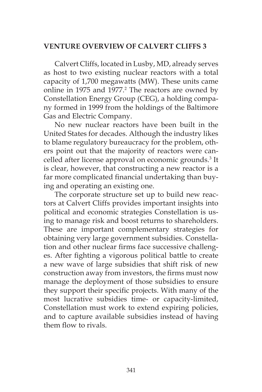### **VENTURE OVERVIEW OF CALVERT CLIFFS 3**

Calvert Cliffs, located in Lusby, MD, already serves as host to two existing nuclear reactors with a total capacity of 1,700 megawatts (MW). These units came online in 1975 and 1977.<sup>2</sup> The reactors are owned by Constellation Energy Group (CEG), a holding company formed in 1999 from the holdings of the Baltimore Gas and Electric Company.

No new nuclear reactors have been built in the United States for decades. Although the industry likes to blame regulatory bureaucracy for the problem, others point out that the majority of reactors were cancelled after license approval on economic grounds.3 It is clear, however, that constructing a new reactor is a far more complicated financial undertaking than buying and operating an existing one.

The corporate structure set up to build new reactors at Calvert Cliffs provides important insights into political and economic strategies Constellation is using to manage risk and boost returns to shareholders. These are important complementary strategies for obtaining very large government subsidies. Constellation and other nuclear firms face successive challenges. After fighting a vigorous political battle to create a new wave of large subsidies that shift risk of new construction away from investors, the firms must now manage the deployment of those subsidies to ensure they support their specific projects. With many of the most lucrative subsidies time- or capacity-limited, Constellation must work to extend expiring policies, and to capture available subsidies instead of having them flow to rivals.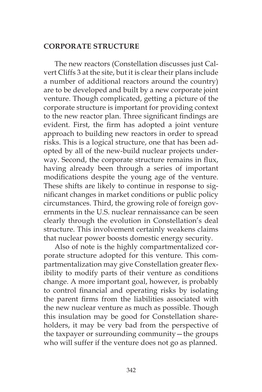#### **CORPORATE STRUCTURE**

The new reactors (Constellation discusses just Calvert Cliffs 3 at the site, but it is clear their plans include a number of additional reactors around the country) are to be developed and built by a new corporate joint venture. Though complicated, getting a picture of the corporate structure is important for providing context to the new reactor plan. Three significant findings are evident. First, the firm has adopted a joint venture approach to building new reactors in order to spread risks. This is a logical structure, one that has been adopted by all of the new-build nuclear projects underway. Second, the corporate structure remains in flux, having already been through a series of important modifications despite the young age of the venture. These shifts are likely to continue in response to significant changes in market conditions or public policy circumstances. Third, the growing role of foreign governments in the U.S. nuclear rennaissance can be seen clearly through the evolution in Constellation's deal structure. This involvement certainly weakens claims that nuclear power boosts domestic energy security.

Also of note is the highly compartmentalized corporate structure adopted for this venture. This compartmentalization may give Constellation greater flexibility to modify parts of their venture as conditions change. A more important goal, however, is probably to control financial and operating risks by isolating the parent firms from the liabilities associated with the new nuclear venture as much as possible. Though this insulation may be good for Constellation shareholders, it may be very bad from the perspective of the taxpayer or surrounding community—the groups who will suffer if the venture does not go as planned.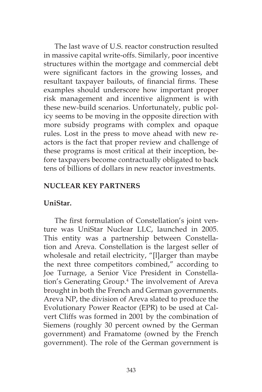The last wave of U.S. reactor construction resulted in massive capital write-offs. Similarly, poor incentive structures within the mortgage and commercial debt were significant factors in the growing losses, and resultant taxpayer bailouts, of financial firms. These examples should underscore how important proper risk management and incentive alignment is with these new-build scenarios. Unfortunately, public policy seems to be moving in the opposite direction with more subsidy programs with complex and opaque rules. Lost in the press to move ahead with new reactors is the fact that proper review and challenge of these programs is most critical at their inception, before taxpayers become contractually obligated to back tens of billions of dollars in new reactor investments.

### **NUCLEAR KEY PARTNERS**

### **UniStar.**

The first formulation of Constellation's joint venture was UniStar Nuclear LLC, launched in 2005. This entity was a partnership between Constellation and Areva. Constellation is the largest seller of wholesale and retail electricity, "[l]arger than maybe the next three competitors combined," according to Joe Turnage, a Senior Vice President in Constellation's Generating Group.<sup>4</sup> The involvement of Areva brought in both the French and German governments. Areva NP, the division of Areva slated to produce the Evolutionary Power Reactor (EPR) to be used at Calvert Cliffs was formed in 2001 by the combination of Siemens (roughly 30 percent owned by the German government) and Framatome (owned by the French government). The role of the German government is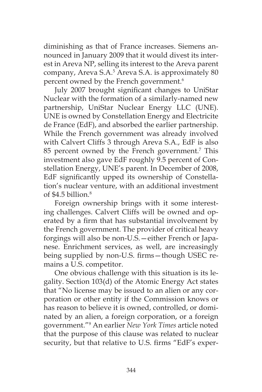diminishing as that of France increases. Siemens announced in January 2009 that it would divest its interest in Areva NP, selling its interest to the Areva parent company, Areva S.A.<sup>5</sup> Areva S.A. is approximately 80 percent owned by the French government.<sup>6</sup>

July 2007 brought significant changes to UniStar Nuclear with the formation of a similarly-named new partnership, UniStar Nuclear Energy LLC (UNE). UNE is owned by Constellation Energy and Electricite de France (EdF), and absorbed the earlier partnership. While the French government was already involved with Calvert Cliffs 3 through Areva S.A., EdF is also 85 percent owned by the French government.<sup>7</sup> This investment also gave EdF roughly 9.5 percent of Constellation Energy, UNE's parent. In December of 2008, EdF significantly upped its ownership of Constellation's nuclear venture, with an additional investment of \$4.5 billion. $8$ 

Foreign ownership brings with it some interesting challenges. Calvert Cliffs will be owned and operated by a firm that has substantial involvement by the French government. The provider of critical heavy forgings will also be non-U.S.—either French or Japanese. Enrichment services, as well, are increasingly being supplied by non-U.S. firms—though USEC remains a U.S. competitor.

One obvious challenge with this situation is its legality. Section 103(d) of the Atomic Energy Act states that "No license may be issued to an alien or any corporation or other entity if the Commission knows or has reason to believe it is owned, controlled, or dominated by an alien, a foreign corporation, or a foreign government."9 An earlier *New York Times* article noted that the purpose of this clause was related to nuclear security, but that relative to U.S. firms "EdF's exper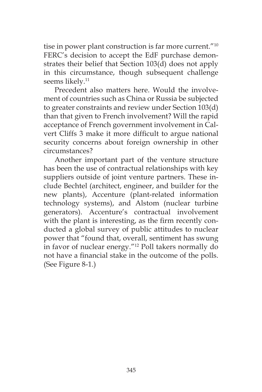tise in power plant construction is far more current."10 FERC's decision to accept the EdF purchase demonstrates their belief that Section 103(d) does not apply in this circumstance, though subsequent challenge seems likely.<sup>11</sup>

Precedent also matters here. Would the involvement of countries such as China or Russia be subjected to greater constraints and review under Section 103(d) than that given to French involvement? Will the rapid acceptance of French government involvement in Calvert Cliffs 3 make it more difficult to argue national security concerns about foreign ownership in other circumstances?

Another important part of the venture structure has been the use of contractual relationships with key suppliers outside of joint venture partners. These include Bechtel (architect, engineer, and builder for the new plants), Accenture (plant-related information technology systems), and Alstom (nuclear turbine generators). Accenture's contractual involvement with the plant is interesting, as the firm recently conducted a global survey of public attitudes to nuclear power that "found that, overall, sentiment has swung in favor of nuclear energy."12 Poll takers normally do not have a financial stake in the outcome of the polls. (See Figure 8-1.)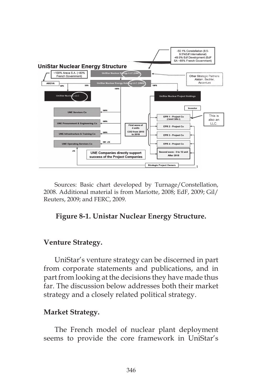

Sources: Basic chart developed by Turnage/Constellation, 2008. Additional material is from Mariotte, 2008; EdF, 2009; Gil/ Reuters, 2009; and FERC, 2009.

### **Figure 8-1. Unistar Nuclear Energy Structure.**

### **Venture Strategy.**

UniStar's venture strategy can be discerned in part from corporate statements and publications, and in part from looking at the decisions they have made thus far. The discussion below addresses both their market strategy and a closely related political strategy.

### **Market Strategy.**

The French model of nuclear plant deployment seems to provide the core framework in UniStar's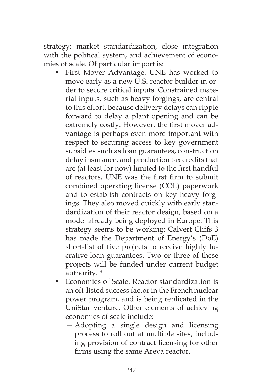strategy: market standardization, close integration with the political system, and achievement of economies of scale. Of particular import is:

- First Mover Advantage. UNE has worked to move early as a new U.S. reactor builder in order to secure critical inputs. Constrained material inputs, such as heavy forgings, are central to this effort, because delivery delays can ripple forward to delay a plant opening and can be extremely costly. However, the first mover advantage is perhaps even more important with respect to securing access to key government subsidies such as loan guarantees, construction delay insurance, and production tax credits that are (at least for now) limited to the first handful of reactors. UNE was the first firm to submit combined operating license (COL) paperwork and to establish contracts on key heavy forgings. They also moved quickly with early standardization of their reactor design, based on a model already being deployed in Europe. This strategy seems to be working: Calvert Cliffs 3 has made the Department of Energy's (DoE) short-list of five projects to receive highly lucrative loan guarantees. Two or three of these projects will be funded under current budget authority.13
- Economies of Scale. Reactor standardization is an oft-listed success factor in the French nuclear power program, and is being replicated in the UniStar venture. Other elements of achieving economies of scale include:
	- Adopting a single design and licensing process to roll out at multiple sites, including provision of contract licensing for other firms using the same Areva reactor.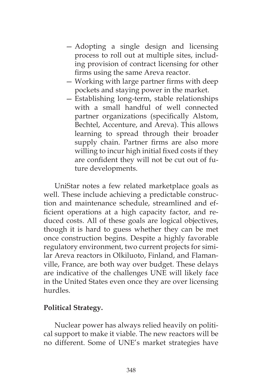- Adopting a single design and licensing process to roll out at multiple sites, including provision of contract licensing for other firms using the same Areva reactor.
- Working with large partner firms with deep pockets and staying power in the market.
- Establishing long-term, stable relationships with a small handful of well connected partner organizations (specifically Alstom, Bechtel, Accenture, and Areva). This allows learning to spread through their broader supply chain. Partner firms are also more willing to incur high initial fixed costs if they are confident they will not be cut out of future developments.

UniStar notes a few related marketplace goals as well. These include achieving a predictable construction and maintenance schedule, streamlined and efficient operations at a high capacity factor, and reduced costs. All of these goals are logical objectives, though it is hard to guess whether they can be met once construction begins. Despite a highly favorable regulatory environment, two current projects for similar Areva reactors in Olkiluoto, Finland, and Flamanville, France, are both way over budget. These delays are indicative of the challenges UNE will likely face in the United States even once they are over licensing hurdles.

### **Political Strategy.**

Nuclear power has always relied heavily on political support to make it viable. The new reactors will be no different. Some of UNE's market strategies have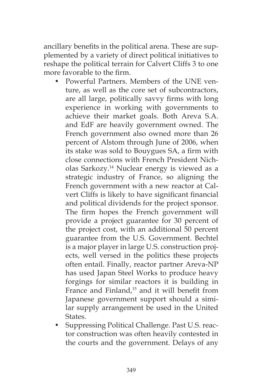ancillary benefits in the political arena. These are supplemented by a variety of direct political initiatives to reshape the political terrain for Calvert Cliffs 3 to one more favorable to the firm.

- Powerful Partners. Members of the UNE venture, as well as the core set of subcontractors, are all large, politically savvy firms with long experience in working with governments to achieve their market goals. Both Areva S.A. and EdF are heavily government owned. The French government also owned more than 26 percent of Alstom through June of 2006, when its stake was sold to Bouygues SA, a firm with close connections with French President Nicholas Sarkozy.14 Nuclear energy is viewed as a strategic industry of France, so aligning the French government with a new reactor at Calvert Cliffs is likely to have significant financial and political dividends for the project sponsor. The firm hopes the French government will provide a project guarantee for 30 percent of the project cost, with an additional 50 percent guarantee from the U.S. Government. Bechtel is a major player in large U.S. construction projects, well versed in the politics these projects often entail. Finally, reactor partner Areva-NP has used Japan Steel Works to produce heavy forgings for similar reactors it is building in France and Finland,<sup>15</sup> and it will benefit from Japanese government support should a similar supply arrangement be used in the United States.
- Suppressing Political Challenge. Past U.S. reactor construction was often heavily contested in the courts and the government. Delays of any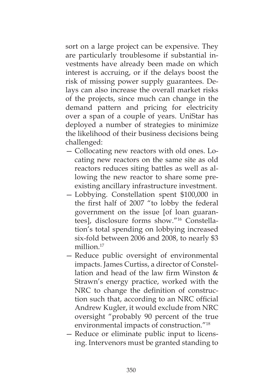sort on a large project can be expensive. They are particularly troublesome if substantial investments have already been made on which interest is accruing, or if the delays boost the risk of missing power supply guarantees. Delays can also increase the overall market risks of the projects, since much can change in the demand pattern and pricing for electricity over a span of a couple of years. UniStar has deployed a number of strategies to minimize the likelihood of their business decisions being challenged:

- Collocating new reactors with old ones. Locating new reactors on the same site as old reactors reduces siting battles as well as allowing the new reactor to share some preexisting ancillary infrastructure investment.
- Lobbying. Constellation spent \$100,000 in the first half of 2007 "to lobby the federal government on the issue [of loan guarantees], disclosure forms show."16 Constellation's total spending on lobbying increased six-fold between 2006 and 2008, to nearly \$3 million.<sup>17</sup>
- Reduce public oversight of environmental impacts. James Curtiss, a director of Constellation and head of the law firm Winston  $\&$ Strawn's energy practice, worked with the NRC to change the definition of construction such that, according to an NRC official Andrew Kugler, it would exclude from NRC oversight "probably 90 percent of the true environmental impacts of construction."18
- Reduce or eliminate public input to licensing. Intervenors must be granted standing to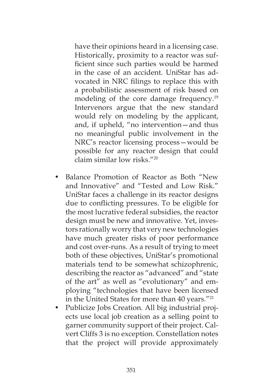have their opinions heard in a licensing case. Historically, proximity to a reactor was sufficient since such parties would be harmed in the case of an accident. UniStar has advocated in NRC filings to replace this with a probabilistic assessment of risk based on modeling of the core damage frequency.<sup>19</sup> Intervenors argue that the new standard would rely on modeling by the applicant, and, if upheld, "no intervention—and thus no meaningful public involvement in the NRC's reactor licensing process—would be possible for any reactor design that could claim similar low risks."20

- Balance Promotion of Reactor as Both "New and Innovative" and "Tested and Low Risk." UniStar faces a challenge in its reactor designs due to conflicting pressures. To be eligible for the most lucrative federal subsidies, the reactor design must be new and innovative. Yet, investors rationally worry that very new technologies have much greater risks of poor performance and cost over-runs. As a result of trying to meet both of these objectives, UniStar's promotional materials tend to be somewhat schizophrenic, describing the reactor as "advanced" and "state of the art" as well as "evolutionary" and employing "technologies that have been licensed in the United States for more than 40 years."21
- Publicize Jobs Creation. All big industrial projects use local job creation as a selling point to garner community support of their project. Calvert Cliffs 3 is no exception. Constellation notes that the project will provide approximately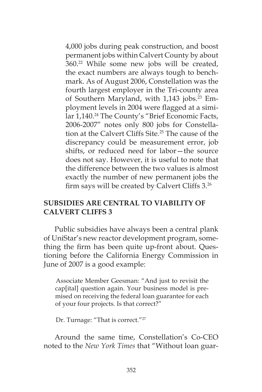4,000 jobs during peak construction, and boost permanent jobs within Calvert County by about 360.<sup>22</sup> While some new jobs will be created, the exact numbers are always tough to benchmark. As of August 2006, Constellation was the fourth largest employer in the Tri-county area of Southern Maryland, with 1,143 jobs.<sup>23</sup> Employment levels in 2004 were flagged at a similar 1,140.<sup>24</sup> The County's "Brief Economic Facts, 2006-2007" notes only 800 jobs for Constellation at the Calvert Cliffs Site.25 The cause of the discrepancy could be measurement error, job shifts, or reduced need for labor—the source does not say. However, it is useful to note that the difference between the two values is almost exactly the number of new permanent jobs the firm says will be created by Calvert Cliffs 3.26

### **SUBSIDIES ARE CENTRAL TO VIABILITY OF CALVERT CLIFFS 3**

Public subsidies have always been a central plank of UniStar's new reactor development program, something the firm has been quite up-front about. Questioning before the California Energy Commission in June of 2007 is a good example:

Associate Member Geesman: "And just to revisit the cap[ital] question again. Your business model is premised on receiving the federal loan guarantee for each of your four projects. Is that correct?"

Dr. Turnage: "That is correct."<sup>27</sup>

Around the same time, Constellation's Co-CEO noted to the *New York Times* that "Without loan guar-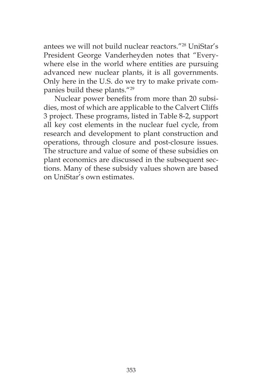antees we will not build nuclear reactors."28 UniStar's President George Vanderheyden notes that "Everywhere else in the world where entities are pursuing advanced new nuclear plants, it is all governments. Only here in the U.S. do we try to make private companies build these plants."29

Nuclear power benefits from more than 20 subsidies, most of which are applicable to the Calvert Cliffs 3 project. These programs, listed in Table 8-2, support all key cost elements in the nuclear fuel cycle, from research and development to plant construction and operations, through closure and post-closure issues. The structure and value of some of these subsidies on plant economics are discussed in the subsequent sections. Many of these subsidy values shown are based on UniStar's own estimates.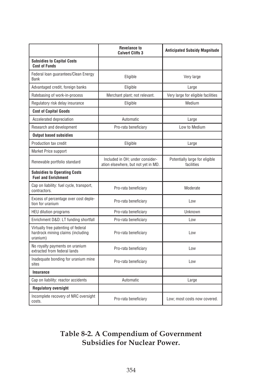|                                                                                      | <b>Revelance to</b><br><b>Calvert Cliffs 3</b>                         | <b>Anticipated Subsidy Magnitude</b>         |  |
|--------------------------------------------------------------------------------------|------------------------------------------------------------------------|----------------------------------------------|--|
| <b>Subsidies to Capital Costs</b><br><b>Cost of Funds</b>                            |                                                                        |                                              |  |
| Federal Ioan guarantees/Clean Energy<br>Bank                                         | Eligible                                                               | Very large                                   |  |
| Advantaged credit, foreign banks                                                     | Eligible                                                               | Large                                        |  |
| Ratebasing of work-in-process                                                        | Merchant plant; not relevant.                                          | Very large for eligible facilities           |  |
| Regulatory risk delay insurance                                                      | Eligible                                                               | Medium                                       |  |
| <b>Cost of Capital Goods</b>                                                         |                                                                        |                                              |  |
| Accelerated depreciation                                                             | Automatic                                                              | Large                                        |  |
| Research and development                                                             | Pro-rata beneficiary                                                   | Low to Medium                                |  |
| <b>Output based subsidies</b>                                                        |                                                                        |                                              |  |
| Production tax credit                                                                | Eligible                                                               | Large                                        |  |
| Market Price support                                                                 |                                                                        |                                              |  |
| Renewable portfolio standard                                                         | Included in OH; under consider-<br>ation elsewhere, but not yet in MD. | Potentially large for eligible<br>facilities |  |
| <b>Subsidies to Operating Costs</b><br><b>Fuel and Enrichment</b>                    |                                                                        |                                              |  |
| Cap on liability: fuel cycle, transport,<br>contractors.                             | Pro-rata beneficiary                                                   | Moderate                                     |  |
| Excess of percentage over cost deple-<br>tion for uranium                            | Pro-rata beneficiary                                                   | Low                                          |  |
| <b>HEU dilution programs</b>                                                         | Pro-rata beneficiary                                                   | Unknown                                      |  |
| Enrichment D&D: LT funding shortfall                                                 | Pro-rata beneficiary                                                   | Low                                          |  |
| Virtually free patenting of federal<br>hardrock mining claims (including<br>uranium) | Pro-rata beneficiary                                                   | Low                                          |  |
| No royalty payments on uranium<br>extracted from federal lands                       | Pro-rata beneficiary                                                   | Low                                          |  |
| Inadequate bonding for uranium mine<br>sites                                         | Pro-rata beneficiary                                                   | Low                                          |  |
| Insurance                                                                            |                                                                        |                                              |  |
| Cap on liability: reactor accidents                                                  | Automatic                                                              | Large                                        |  |
| <b>Regulatory oversight</b>                                                          |                                                                        |                                              |  |
| Incomplete recovery of NRC oversight<br>costs.                                       | Pro-rata beneficiary                                                   | Low; most costs now covered.                 |  |

## **Table 8-2. A Compendium of Government Subsidies for Nuclear Power.**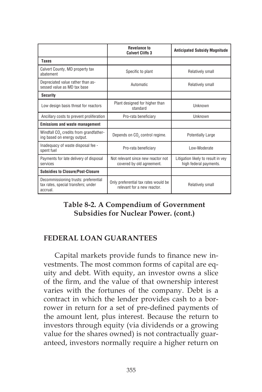|                                                                                         | <b>Revelance to</b><br><b>Calvert Cliffs 3</b>                      | <b>Anticipated Subsidy Magnitude</b>                         |  |
|-----------------------------------------------------------------------------------------|---------------------------------------------------------------------|--------------------------------------------------------------|--|
| Taxes                                                                                   |                                                                     |                                                              |  |
| Calvert County, MD property tax<br>abatement                                            | Specific to plant                                                   | Relatively small                                             |  |
| Depreciated value rather than as-<br>sessed value as MD tax base                        | Automatic                                                           | Relatively small                                             |  |
| <b>Security</b>                                                                         |                                                                     |                                                              |  |
| Low design basis threat for reactors                                                    | Plant designed for higher than<br>standard                          | Unknown                                                      |  |
| Ancillary costs to prevent proliferation                                                | Pro-rata beneficiary                                                | Unknown                                                      |  |
| <b>Emissions and waste management</b>                                                   |                                                                     |                                                              |  |
| Windfall CO <sub>2</sub> credits from grandfather-<br>ing based on energy output.       | Depends on CO <sub>2</sub> control regime.                          | <b>Potentially Large</b>                                     |  |
| Inadequacy of waste disposal fee -<br>spent fuel                                        | Pro-rata beneficiary                                                | Low-Moderate                                                 |  |
| Payments for late delivery of disposal<br>services                                      | Not relevant since new reactor not<br>covered by old agreement.     | Litigation likely to result in vey<br>high federal payments. |  |
| <b>Subsidies to Closure/Post-Closure</b>                                                |                                                                     |                                                              |  |
| Decommissioning trusts: preferential<br>tax rates, special transfers; under<br>accrual. | Only preferential tax rates would be<br>relevant for a new reactor. | Relatively small                                             |  |

### **Table 8-2. A Compendium of Government Subsidies for Nuclear Power. (cont.)**

### **FEDERAL LOAN GUARANTEES**

Capital markets provide funds to finance new investments. The most common forms of capital are equity and debt. With equity, an investor owns a slice of the firm, and the value of that ownership interest varies with the fortunes of the company. Debt is a contract in which the lender provides cash to a borrower in return for a set of pre-defined payments of the amount lent, plus interest. Because the return to investors through equity (via dividends or a growing value for the shares owned) is not contractually guaranteed, investors normally require a higher return on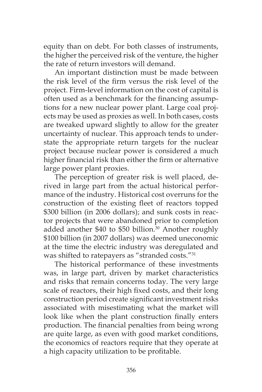equity than on debt. For both classes of instruments, the higher the perceived risk of the venture, the higher the rate of return investors will demand.

An important distinction must be made between the risk level of the firm versus the risk level of the project. Firm-level information on the cost of capital is often used as a benchmark for the financing assumptions for a new nuclear power plant. Large coal projects may be used as proxies as well. In both cases, costs are tweaked upward slightly to allow for the greater uncertainty of nuclear. This approach tends to understate the appropriate return targets for the nuclear project because nuclear power is considered a much higher financial risk than either the firm or alternative large power plant proxies.

The perception of greater risk is well placed, derived in large part from the actual historical performance of the industry. Historical cost overruns for the construction of the existing fleet of reactors topped \$300 billion (in 2006 dollars); and sunk costs in reactor projects that were abandoned prior to completion added another \$40 to \$50 billion.<sup>30</sup> Another roughly \$100 billion (in 2007 dollars) was deemed uneconomic at the time the electric industry was deregulated and was shifted to ratepayers as "stranded costs."31

The historical performance of these investments was, in large part, driven by market characteristics and risks that remain concerns today. The very large scale of reactors, their high fixed costs, and their long construction period create significant investment risks associated with misestimating what the market will look like when the plant construction finally enters production. The financial penalties from being wrong are quite large, as even with good market conditions, the economics of reactors require that they operate at a high capacity utilization to be profitable.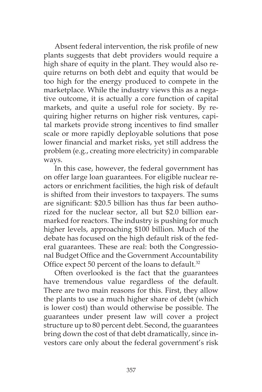Absent federal intervention, the risk profile of new plants suggests that debt providers would require a high share of equity in the plant. They would also require returns on both debt and equity that would be too high for the energy produced to compete in the marketplace. While the industry views this as a negative outcome, it is actually a core function of capital markets, and quite a useful role for society. By requiring higher returns on higher risk ventures, capital markets provide strong incentives to find smaller scale or more rapidly deployable solutions that pose lower financial and market risks, yet still address the problem (e.g., creating more electricity) in comparable ways.

In this case, however, the federal government has on offer large loan guarantees. For eligible nuclear reactors or enrichment facilities, the high risk of default is shifted from their investors to taxpayers. The sums are significant: \$20.5 billion has thus far been authorized for the nuclear sector, all but \$2.0 billion earmarked for reactors. The industry is pushing for much higher levels, approaching \$100 billion. Much of the debate has focused on the high default risk of the federal guarantees. These are real: both the Congressional Budget Office and the Government Accountability Office expect 50 percent of the loans to default.<sup>32</sup>

Often overlooked is the fact that the guarantees have tremendous value regardless of the default. There are two main reasons for this. First, they allow the plants to use a much higher share of debt (which is lower cost) than would otherwise be possible. The guarantees under present law will cover a project structure up to 80 percent debt. Second, the guarantees bring down the cost of that debt dramatically, since investors care only about the federal government's risk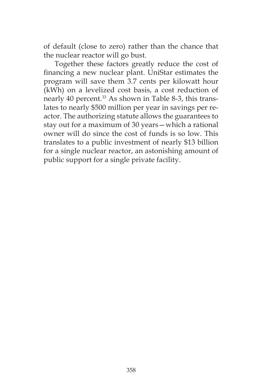of default (close to zero) rather than the chance that the nuclear reactor will go bust.

Together these factors greatly reduce the cost of financing a new nuclear plant. UniStar estimates the program will save them 3.7 cents per kilowatt hour (kWh) on a levelized cost basis, a cost reduction of nearly 40 percent.<sup>33</sup> As shown in Table 8-3, this translates to nearly \$500 million per year in savings per reactor. The authorizing statute allows the guarantees to stay out for a maximum of 30 years—which a rational owner will do since the cost of funds is so low. This translates to a public investment of nearly \$13 billion for a single nuclear reactor, an astonishing amount of public support for a single private facility.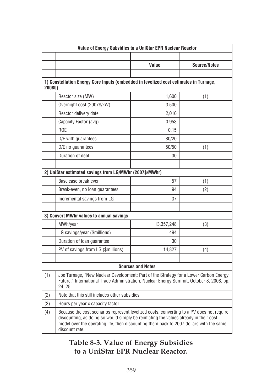| Value of Energy Subsidies to a UniStar EPR Nuclear Reactor |                                                                                                                                                                                                                                                                                                 |            |                     |  |  |
|------------------------------------------------------------|-------------------------------------------------------------------------------------------------------------------------------------------------------------------------------------------------------------------------------------------------------------------------------------------------|------------|---------------------|--|--|
|                                                            |                                                                                                                                                                                                                                                                                                 |            |                     |  |  |
|                                                            |                                                                                                                                                                                                                                                                                                 | Value      | <b>Source/Notes</b> |  |  |
|                                                            |                                                                                                                                                                                                                                                                                                 |            |                     |  |  |
| 2008b)                                                     | 1) Constellation Energy Core Inputs (embedded in levelized cost estimates in Turnage,                                                                                                                                                                                                           |            |                     |  |  |
|                                                            | Reactor size (MW)                                                                                                                                                                                                                                                                               | 1,600      | (1)                 |  |  |
|                                                            | Overnight cost (2007\$/kW)                                                                                                                                                                                                                                                                      | 3,500      |                     |  |  |
|                                                            | Reactor delivery date                                                                                                                                                                                                                                                                           | 2,016      |                     |  |  |
|                                                            | Capacity Factor (avg).                                                                                                                                                                                                                                                                          | 0.953      |                     |  |  |
|                                                            | <b>ROF</b>                                                                                                                                                                                                                                                                                      | 0.15       |                     |  |  |
|                                                            | D/E with guarantees                                                                                                                                                                                                                                                                             | 80/20      |                     |  |  |
|                                                            | D/E no guarantees                                                                                                                                                                                                                                                                               | 50/50      | (1)                 |  |  |
|                                                            | Duration of debt                                                                                                                                                                                                                                                                                | 30         |                     |  |  |
|                                                            |                                                                                                                                                                                                                                                                                                 |            |                     |  |  |
|                                                            | 2) UniStar estimated savings from LG/MWhr (2007\$/MWhr)                                                                                                                                                                                                                                         |            |                     |  |  |
|                                                            | Base case break-even                                                                                                                                                                                                                                                                            | 57         | (1)                 |  |  |
|                                                            | Break-even, no loan guarantees                                                                                                                                                                                                                                                                  | 94         | (2)                 |  |  |
|                                                            | Incremental savings from LG                                                                                                                                                                                                                                                                     | 37         |                     |  |  |
|                                                            |                                                                                                                                                                                                                                                                                                 |            |                     |  |  |
|                                                            | 3) Convert MWhr values to annual savings                                                                                                                                                                                                                                                        |            |                     |  |  |
|                                                            | MWh/year                                                                                                                                                                                                                                                                                        | 13,357,248 | (3)                 |  |  |
|                                                            | LG savings/year (\$millions)                                                                                                                                                                                                                                                                    | 494        |                     |  |  |
|                                                            | Duration of loan guarantee                                                                                                                                                                                                                                                                      | 30         |                     |  |  |
|                                                            | PV of savings from LG (\$millions)                                                                                                                                                                                                                                                              | 14,827     | (4)                 |  |  |
|                                                            |                                                                                                                                                                                                                                                                                                 |            |                     |  |  |
| <b>Sources and Notes</b>                                   |                                                                                                                                                                                                                                                                                                 |            |                     |  |  |
| (1)                                                        | Joe Turnage, "New Nuclear Development: Part of the Strategy for a Lower Carbon Energy<br>Future," International Trade Administration, Nuclear Energy Summit, October 8, 2008, pp.<br>24.25.                                                                                                     |            |                     |  |  |
| (2)                                                        | Note that this still includes other subsidies                                                                                                                                                                                                                                                   |            |                     |  |  |
| (3)                                                        | Hours per year x capacity factor                                                                                                                                                                                                                                                                |            |                     |  |  |
| (4)                                                        | Because the cost scenarios represent levelized costs, converting to a PV does not require<br>discounting, as doing so would simply be reinflating the values already in their cost<br>model over the operating life, then discounting them back to 2007 dollars with the same<br>discount rate. |            |                     |  |  |

# **Table 8-3. Value of Energy Subsidies to a UniStar EPR Nuclear Reactor.**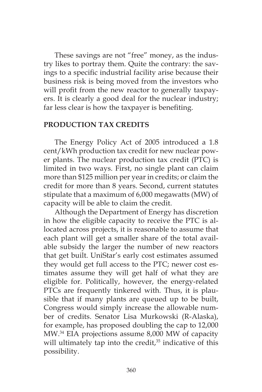These savings are not "free" money, as the industry likes to portray them. Quite the contrary: the savings to a specific industrial facility arise because their business risk is being moved from the investors who will profit from the new reactor to generally taxpayers. It is clearly a good deal for the nuclear industry; far less clear is how the taxpayer is benefiting.

#### **PRODUCTION TAX CREDITS**

The Energy Policy Act of 2005 introduced a 1.8 cent/kWh production tax credit for new nuclear power plants. The nuclear production tax credit (PTC) is limited in two ways. First, no single plant can claim more than \$125 million per year in credits; or claim the credit for more than 8 years. Second, current statutes stipulate that a maximum of 6,000 megawatts (MW) of capacity will be able to claim the credit.

Although the Department of Energy has discretion in how the eligible capacity to receive the PTC is allocated across projects, it is reasonable to assume that each plant will get a smaller share of the total available subsidy the larger the number of new reactors that get built. UniStar's early cost estimates assumed they would get full access to the PTC; newer cost estimates assume they will get half of what they are eligible for. Politically, however, the energy-related PTCs are frequently tinkered with. Thus, it is plausible that if many plants are queued up to be built, Congress would simply increase the allowable number of credits. Senator Lisa Murkowski (R-Alaska), for example, has proposed doubling the cap to 12,000 MW.34 EIA projections assume 8,000 MW of capacity will ultimately tap into the credit, $35$  indicative of this possibility.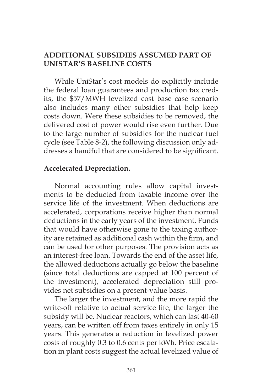### **ADDITIONAL SUBSIDIES ASSUMED PART OF UNISTAR'S BASELINE COSTS**

While UniStar's cost models do explicitly include the federal loan guarantees and production tax credits, the \$57/MWH levelized cost base case scenario also includes many other subsidies that help keep costs down. Were these subsidies to be removed, the delivered cost of power would rise even further. Due to the large number of subsidies for the nuclear fuel cycle (see Table 8-2), the following discussion only addresses a handful that are considered to be significant.

### **Accelerated Depreciation.**

Normal accounting rules allow capital investments to be deducted from taxable income over the service life of the investment. When deductions are accelerated, corporations receive higher than normal deductions in the early years of the investment. Funds that would have otherwise gone to the taxing authority are retained as additional cash within the firm, and can be used for other purposes. The provision acts as an interest-free loan. Towards the end of the asset life, the allowed deductions actually go below the baseline (since total deductions are capped at 100 percent of the investment), accelerated depreciation still provides net subsidies on a present-value basis.

The larger the investment, and the more rapid the write-off relative to actual service life, the larger the subsidy will be. Nuclear reactors, which can last 40-60 years, can be written off from taxes entirely in only 15 years. This generates a reduction in levelized power costs of roughly 0.3 to 0.6 cents per kWh. Price escalation in plant costs suggest the actual levelized value of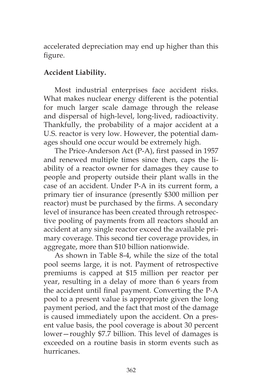accelerated depreciation may end up higher than this figure.

## **Accident Liability.**

Most industrial enterprises face accident risks. What makes nuclear energy different is the potential for much larger scale damage through the release and dispersal of high-level, long-lived, radioactivity. Thankfully, the probability of a major accident at a U.S. reactor is very low. However, the potential damages should one occur would be extremely high.

The Price-Anderson Act (P-A), first passed in 1957 and renewed multiple times since then, caps the liability of a reactor owner for damages they cause to people and property outside their plant walls in the case of an accident. Under P-A in its current form, a primary tier of insurance (presently \$300 million per reactor) must be purchased by the firms. A secondary level of insurance has been created through retrospective pooling of payments from all reactors should an accident at any single reactor exceed the available primary coverage. This second tier coverage provides, in aggregate, more than \$10 billion nationwide.

As shown in Table 8-4, while the size of the total pool seems large, it is not. Payment of retrospective premiums is capped at \$15 million per reactor per year, resulting in a delay of more than 6 years from the accident until final payment. Converting the P-A pool to a present value is appropriate given the long payment period, and the fact that most of the damage is caused immediately upon the accident. On a present value basis, the pool coverage is about 30 percent lower—roughly \$7.7 billion. This level of damages is exceeded on a routine basis in storm events such as hurricanes.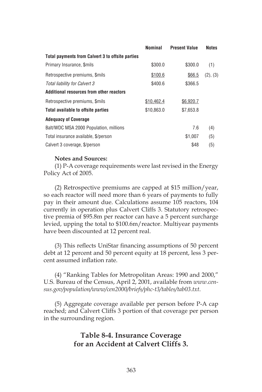|                                                         | <b>Nominal</b> | <b>Present Value</b> | <b>Notes</b> |
|---------------------------------------------------------|----------------|----------------------|--------------|
| <b>Total payments from Calvert 3 to offsite parties</b> |                |                      |              |
| Primary Insurance, \$mils                               | \$300.0        | \$300.0              | (1)          |
| Retrospective premiums, \$mils                          | \$100.6        | \$66.5               | (2), (3)     |
| Total liability for Calvert 3                           | \$400.6        | \$366.5              |              |
| Additional resources from other reactors                |                |                      |              |
| Retrospective premiums, \$mils                          | \$10,462.4     | \$6,920.7            |              |
| Total available to offsite parties                      | \$10.863.0     | \$7,653.8            |              |
| <b>Adequacy of Coverage</b>                             |                |                      |              |
| Balt/WDC MSA 2000 Population, millions                  |                | 7.6                  | (4)          |
| Total insurance available, \$/person                    |                | \$1,007              | (5)          |
| Calvert 3 coverage, \$/person                           |                | \$48                 | (5)          |

#### **Notes and Sources:**

(1) P-A coverage requirements were last revised in the Energy Policy Act of 2005.

(2) Retrospective premiums are capped at \$15 million/year, so each reactor will need more than 6 years of payments to fully pay in their amount due. Calculations assume 105 reactors, 104 currently in operation plus Calvert Cliffs 3. Statutory retrospective premia of \$95.8m per reactor can have a 5 percent surcharge levied, upping the total to \$100.6m/reactor. Multiyear payments have been discounted at 12 percent real.

(3) This reflects UniStar financing assumptions of 50 percent debt at 12 percent and 50 percent equity at 18 percent, less 3 percent assumed inflation rate.

(4) "Ranking Tables for Metropolitan Areas: 1990 and 2000," U.S. Bureau of the Census, April 2, 2001, available from *www.census.gov/population/www/cen2000/briefs/phc-t3/tables/tab03.txt*.

(5) Aggregate coverage available per person before P-A cap reached; and Calvert Cliffs 3 portion of that coverage per person in the surrounding region.

### **Table 8-4. Insurance Coverage for an Accident at Calvert Cliffs 3.**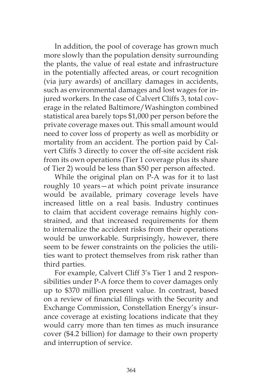In addition, the pool of coverage has grown much more slowly than the population density surrounding the plants, the value of real estate and infrastructure in the potentially affected areas, or court recognition (via jury awards) of ancillary damages in accidents, such as environmental damages and lost wages for injured workers. In the case of Calvert Cliffs 3, total coverage in the related Baltimore/Washington combined statistical area barely tops \$1,000 per person before the private coverage maxes out. This small amount would need to cover loss of property as well as morbidity or mortality from an accident. The portion paid by Calvert Cliffs 3 directly to cover the off-site accident risk from its own operations (Tier 1 coverage plus its share of Tier 2) would be less than \$50 per person affected.

While the original plan on P-A was for it to last roughly 10 years—at which point private insurance would be available, primary coverage levels have increased little on a real basis. Industry continues to claim that accident coverage remains highly constrained, and that increased requirements for them to internalize the accident risks from their operations would be unworkable. Surprisingly, however, there seem to be fewer constraints on the policies the utilities want to protect themselves from risk rather than third parties.

For example, Calvert Cliff 3's Tier 1 and 2 responsibilities under P-A force them to cover damages only up to \$370 million present value. In contrast, based on a review of financial filings with the Security and Exchange Commission, Constellation Energy's insurance coverage at existing locations indicate that they would carry more than ten times as much insurance cover (\$4.2 billion) for damage to their own property and interruption of service.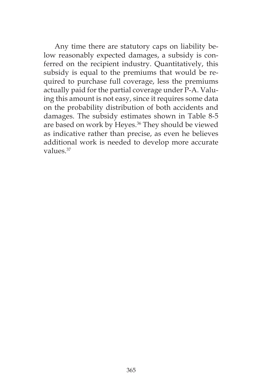Any time there are statutory caps on liability below reasonably expected damages, a subsidy is conferred on the recipient industry. Quantitatively, this subsidy is equal to the premiums that would be required to purchase full coverage, less the premiums actually paid for the partial coverage under P-A. Valuing this amount is not easy, since it requires some data on the probability distribution of both accidents and damages. The subsidy estimates shown in Table 8-5 are based on work by Heyes.<sup>36</sup> They should be viewed as indicative rather than precise, as even he believes additional work is needed to develop more accurate values.<sup>37</sup>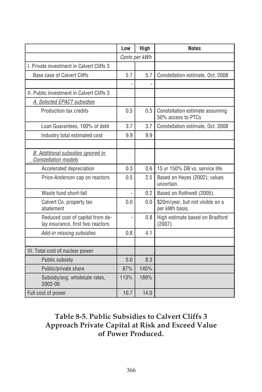|                                                                       | Low            | <b>High</b> | <b>Notes</b>                                          |
|-----------------------------------------------------------------------|----------------|-------------|-------------------------------------------------------|
|                                                                       | Cents per kWh  |             |                                                       |
| I. Private investment in Calvert Cliffs 3                             |                |             |                                                       |
| <b>Base case of Calvert Cliffs</b>                                    | 5.7            | 5.7         | Constellation estimate, Oct. 2008                     |
|                                                                       |                |             |                                                       |
| II. Public investment in Calvert Cliffs 3                             |                |             |                                                       |
| A. Selected EPACT subsidies                                           |                |             |                                                       |
| Production tax credits                                                | 0.5            | 0.5         | Constellation estimate assuming<br>50% access to PTCs |
| Loan Guarantees, 100% of debt                                         | 3.7            | 3.7         | Constellation estimate, Oct. 2008                     |
| Industry total estimated cost                                         | 9.9            | 9.9         |                                                       |
|                                                                       |                |             |                                                       |
| B. Additional subsidies ignored in<br><b>Constellation models</b>     |                |             |                                                       |
| Accelerated depreciation                                              | 0.3            | 0.6         | 15 yr 150% DB vs. service life.                       |
| Price-Anderson cap on reactors                                        | 0.5            | 2.5         | Based on Heyes (2002); values<br>uncertain.           |
| Waste fund short-fall                                                 | $\overline{a}$ | 0.2         | Based on Rothwell (2005).                             |
| Calvert Co. property tax<br>abatement                                 | 0.0            | 0.0         | \$20m/year, but not visible on a<br>per kWh basis.    |
| Reduced cost of capital from de-<br>lay insurance, first two reactors | ÷,             | 0.8         | High estimate based on Bradford<br>(2007).            |
| Add-in missing subsidies                                              | 0.8            | 4.1         |                                                       |
|                                                                       |                |             |                                                       |
| III. Total cost of nuclear power                                      |                |             |                                                       |
| Public subsidy                                                        | 5.0            | 8.3         |                                                       |
| Public/private share                                                  | 87%            | 145%        |                                                       |
| Subsidy/avg. wholesale rates,<br>2002-06                              | 113%           | 189%        |                                                       |
| Full cost of power                                                    | 10.7           | 14.0        |                                                       |

## **Table 8-5. Public Subsidies to Calvert Cliffs 3 Approach Private Capital at Risk and Exceed Value of Power Produced.**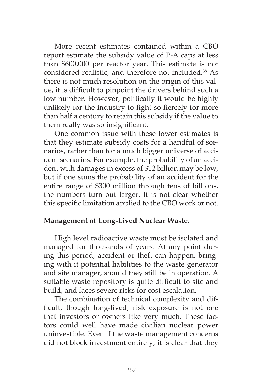More recent estimates contained within a CBO report estimate the subsidy value of P-A caps at less than \$600,000 per reactor year. This estimate is not considered realistic, and therefore not included.38 As there is not much resolution on the origin of this value, it is difficult to pinpoint the drivers behind such a low number. However, politically it would be highly unlikely for the industry to fight so fiercely for more than half a century to retain this subsidy if the value to them really was so insignificant.

One common issue with these lower estimates is that they estimate subsidy costs for a handful of scenarios, rather than for a much bigger universe of accident scenarios. For example, the probability of an accident with damages in excess of \$12 billion may be low, but if one sums the probability of an accident for the entire range of \$300 million through tens of billions, the numbers turn out larger. It is not clear whether this specific limitation applied to the CBO work or not.

### **Management of Long-Lived Nuclear Waste.**

High level radioactive waste must be isolated and managed for thousands of years. At any point during this period, accident or theft can happen, bringing with it potential liabilities to the waste generator and site manager, should they still be in operation. A suitable waste repository is quite difficult to site and build, and faces severe risks for cost escalation.

The combination of technical complexity and difficult, though long-lived, risk exposure is not one that investors or owners like very much. These factors could well have made civilian nuclear power uninvestible. Even if the waste management concerns did not block investment entirely, it is clear that they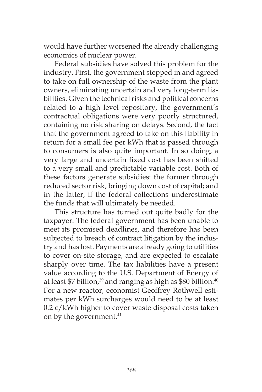would have further worsened the already challenging economics of nuclear power.

Federal subsidies have solved this problem for the industry. First, the government stepped in and agreed to take on full ownership of the waste from the plant owners, eliminating uncertain and very long-term liabilities. Given the technical risks and political concerns related to a high level repository, the government's contractual obligations were very poorly structured, containing no risk sharing on delays. Second, the fact that the government agreed to take on this liability in return for a small fee per kWh that is passed through to consumers is also quite important. In so doing, a very large and uncertain fixed cost has been shifted to a very small and predictable variable cost. Both of these factors generate subsidies: the former through reduced sector risk, bringing down cost of capital; and in the latter, if the federal collections underestimate the funds that will ultimately be needed.

This structure has turned out quite badly for the taxpayer. The federal government has been unable to meet its promised deadlines, and therefore has been subjected to breach of contract litigation by the industry and has lost. Payments are already going to utilities to cover on-site storage, and are expected to escalate sharply over time. The tax liabilities have a present value according to the U.S. Department of Energy of at least \$7 billion,<sup>39</sup> and ranging as high as \$80 billion.<sup>40</sup> For a new reactor, economist Geoffrey Rothwell estimates per kWh surcharges would need to be at least 0.2 c/kWh higher to cover waste disposal costs taken on by the government.<sup>41</sup>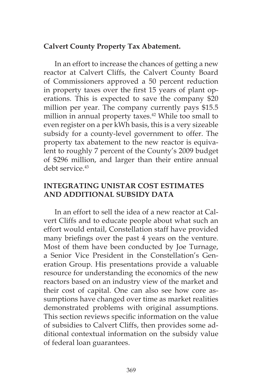### **Calvert County Property Tax Abatement.**

In an effort to increase the chances of getting a new reactor at Calvert Cliffs, the Calvert County Board of Commissioners approved a 50 percent reduction in property taxes over the first 15 years of plant operations. This is expected to save the company \$20 million per year. The company currently pays \$15.5 million in annual property taxes.42 While too small to even register on a per kWh basis, this is a very sizeable subsidy for a county-level government to offer. The property tax abatement to the new reactor is equivalent to roughly 7 percent of the County's 2009 budget of \$296 million, and larger than their entire annual debt service<sup>43</sup>

### **INTEGRATING UNISTAR COST ESTIMATES AND ADDITIONAL SUBSIDY DATA**

In an effort to sell the idea of a new reactor at Calvert Cliffs and to educate people about what such an effort would entail, Constellation staff have provided many briefings over the past 4 years on the venture. Most of them have been conducted by Joe Turnage, a Senior Vice President in the Constellation's Generation Group. His presentations provide a valuable resource for understanding the economics of the new reactors based on an industry view of the market and their cost of capital. One can also see how core assumptions have changed over time as market realities demonstrated problems with original assumptions. This section reviews specific information on the value of subsidies to Calvert Cliffs, then provides some additional contextual information on the subsidy value of federal loan guarantees.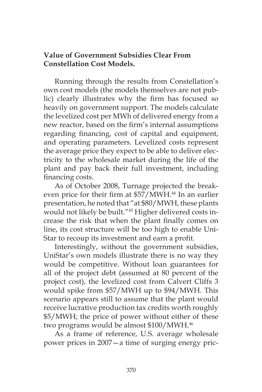### **Value of Government Subsidies Clear From Constellation Cost Models.**

Running through the results from Constellation's own cost models (the models themselves are not public) clearly illustrates why the firm has focused so heavily on government support. The models calculate the levelized cost per MWh of delivered energy from a new reactor, based on the firm's internal assumptions regarding financing, cost of capital and equipment, and operating parameters. Levelized costs represent the average price they expect to be able to deliver electricity to the wholesale market during the life of the plant and pay back their full investment, including financing costs.

As of October 2008, Turnage projected the breakeven price for their firm at \$57/MWH.<sup>44</sup> In an earlier presentation, he noted that "at \$80/MWH, these plants would not likely be built."45 Higher delivered costs increase the risk that when the plant finally comes on line, its cost structure will be too high to enable Uni-Star to recoup its investment and earn a profit.

Interestingly, without the government subsidies, UniStar's own models illustrate there is no way they would be competitive. Without loan guarantees for all of the project debt (assumed at 80 percent of the project cost), the levelized cost from Calvert Cliffs 3 would spike from \$57/MWH up to \$94/MWH. This scenario appears still to assume that the plant would receive lucrative production tax credits worth roughly \$5/MWH; the price of power without either of these two programs would be almost \$100/MWH.<sup>46</sup>

As a frame of reference, U.S. average wholesale power prices in 2007—a time of surging energy pric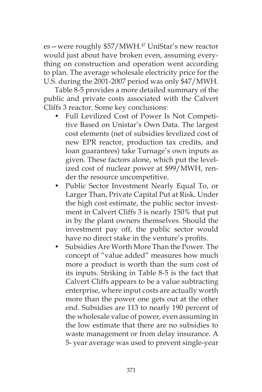es-were roughly \$57/MWH.<sup>47</sup> UniStar's new reactor would just about have broken even, assuming everything on construction and operation went according to plan. The average wholesale electricity price for the U.S. during the 2001-2007 period was only \$47/MWH.

Table 8-5 provides a more detailed summary of the public and private costs associated with the Calvert Cliffs 3 reactor. Some key conclusions:

- Full Levilized Cost of Power Is Not Competitive Based on Unistar's Own Data. The largest cost elements (net of subsidies levelized cost of new EPR reactor, production tax credits, and loan guarantees) take Turnage's own inputs as given. These factors alone, which put the levelized cost of nuclear power at \$99/MWH, render the resource uncompetitive.
- Public Sector Investment Nearly Equal To, or Larger Than, Private Capital Put at Risk. Under the high cost estimate, the public sector investment in Calvert Cliffs 3 is nearly 150% that put in by the plant owners themselves. Should the investment pay off, the public sector would have no direct stake in the venture's profits.
- Subsidies Are Worth More Than the Power. The concept of "value added" measures how much more a product is worth than the sum cost of its inputs. Striking in Table 8-5 is the fact that Calvert Cliffs appears to be a value subtracting enterprise, where input costs are actually worth more than the power one gets out at the other end. Subsidies are 113 to nearly 190 percent of the wholesale value of power, even assuming in the low estimate that there are no subsidies to waste management or from delay insurance. A 5- year average was used to prevent single-year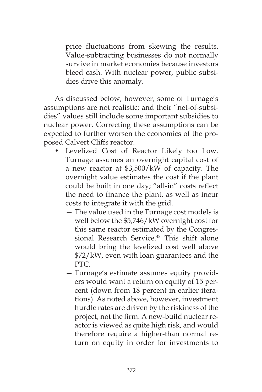price fluctuations from skewing the results. Value-subtracting businesses do not normally survive in market economies because investors bleed cash. With nuclear power, public subsidies drive this anomaly.

As discussed below, however, some of Turnage's assumptions are not realistic; and their "net-of-subsidies" values still include some important subsidies to nuclear power. Correcting these assumptions can be expected to further worsen the economics of the proposed Calvert Cliffs reactor.

- Levelized Cost of Reactor Likely too Low. Turnage assumes an overnight capital cost of a new reactor at \$3,500/kW of capacity. The overnight value estimates the cost if the plant could be built in one day; "all-in" costs reflect the need to finance the plant, as well as incur costs to integrate it with the grid.
	- The value used in the Turnage cost models is well below the \$5,746/kW overnight cost for this same reactor estimated by the Congressional Research Service.<sup>48</sup> This shift alone would bring the levelized cost well above \$72/kW, even with loan guarantees and the PTC.
	- Turnage's estimate assumes equity providers would want a return on equity of 15 percent (down from 18 percent in earlier iterations). As noted above, however, investment hurdle rates are driven by the riskiness of the project, not the firm. A new-build nuclear reactor is viewed as quite high risk, and would therefore require a higher-than normal return on equity in order for investments to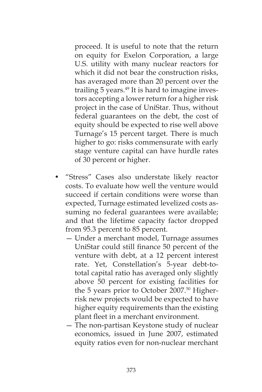proceed. It is useful to note that the return on equity for Exelon Corporation, a large U.S. utility with many nuclear reactors for which it did not bear the construction risks, has averaged more than 20 percent over the trailing 5 years.<sup>49</sup> It is hard to imagine investors accepting a lower return for a higher risk project in the case of UniStar. Thus, without federal guarantees on the debt, the cost of equity should be expected to rise well above Turnage's 15 percent target. There is much higher to go: risks commensurate with early stage venture capital can have hurdle rates of 30 percent or higher.

- "Stress" Cases also understate likely reactor costs. To evaluate how well the venture would succeed if certain conditions were worse than expected, Turnage estimated levelized costs assuming no federal guarantees were available; and that the lifetime capacity factor dropped from 95.3 percent to 85 percent.
	- Under a merchant model, Turnage assumes UniStar could still finance 50 percent of the venture with debt, at a 12 percent interest rate. Yet, Constellation's 5-year debt-tototal capital ratio has averaged only slightly above 50 percent for existing facilities for the 5 years prior to October 2007.<sup>50</sup> Higherrisk new projects would be expected to have higher equity requirements than the existing plant fleet in a merchant environment.
	- The non-partisan Keystone study of nuclear economics, issued in June 2007, estimated equity ratios even for non-nuclear merchant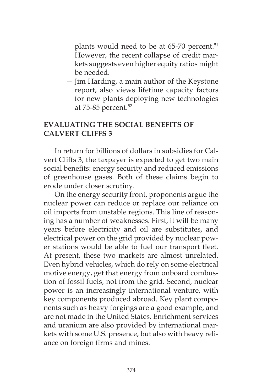plants would need to be at 65-70 percent.<sup>51</sup> However, the recent collapse of credit markets suggests even higher equity ratios might be needed.

— Jim Harding, a main author of the Keystone report, also views lifetime capacity factors for new plants deploying new technologies at 75-85 percent.<sup>52</sup>

### **EVALUATING THE SOCIAL BENEFITS OF CALVERT CLIFFS 3**

In return for billions of dollars in subsidies for Calvert Cliffs 3, the taxpayer is expected to get two main social benefits: energy security and reduced emissions of greenhouse gases. Both of these claims begin to erode under closer scrutiny.

On the energy security front, proponents argue the nuclear power can reduce or replace our reliance on oil imports from unstable regions. This line of reasoning has a number of weaknesses. First, it will be many years before electricity and oil are substitutes, and electrical power on the grid provided by nuclear power stations would be able to fuel our transport fleet. At present, these two markets are almost unrelated. Even hybrid vehicles, which do rely on some electrical motive energy, get that energy from onboard combustion of fossil fuels, not from the grid. Second, nuclear power is an increasingly international venture, with key components produced abroad. Key plant components such as heavy forgings are a good example, and are not made in the United States. Enrichment services and uranium are also provided by international markets with some U.S. presence, but also with heavy reliance on foreign firms and mines.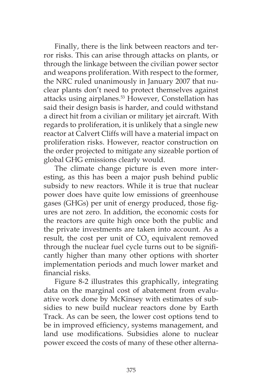Finally, there is the link between reactors and terror risks. This can arise through attacks on plants, or through the linkage between the civilian power sector and weapons proliferation. With respect to the former, the NRC ruled unanimously in January 2007 that nuclear plants don't need to protect themselves against attacks using airplanes.<sup>53</sup> However, Constellation has said their design basis is harder, and could withstand a direct hit from a civilian or military jet aircraft. With regards to proliferation, it is unlikely that a single new reactor at Calvert Cliffs will have a material impact on proliferation risks. However, reactor construction on the order projected to mitigate any sizeable portion of global GHG emissions clearly would.

The climate change picture is even more interesting, as this has been a major push behind public subsidy to new reactors. While it is true that nuclear power does have quite low emissions of greenhouse gases (GHGs) per unit of energy produced, those figures are not zero. In addition, the economic costs for the reactors are quite high once both the public and the private investments are taken into account. As a result, the cost per unit of  $CO<sub>2</sub>$  equivalent removed through the nuclear fuel cycle turns out to be significantly higher than many other options with shorter implementation periods and much lower market and financial risks.

Figure 8-2 illustrates this graphically, integrating data on the marginal cost of abatement from evaluative work done by McKinsey with estimates of subsidies to new build nuclear reactors done by Earth Track. As can be seen, the lower cost options tend to be in improved efficiency, systems management, and land use modifications. Subsidies alone to nuclear power exceed the costs of many of these other alterna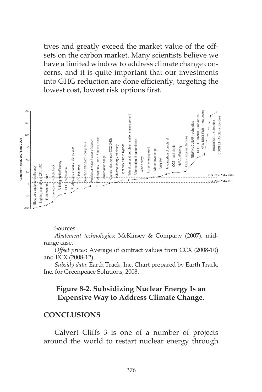tives and greatly exceed the market value of the offsets on the carbon market. Many scientists believe we have a limited window to address climate change concerns, and it is quite important that our investments into GHG reduction are done efficiently, targeting the lowest cost, lowest risk options first.



#### Sources:

*Abatement technologies*: McKinsey & Company (2007), midrange case.

*Offset prices*: Average of contract values from CCX (2008-10) and ECX (2008-12).

*Subsidy data*: Earth Track, Inc. Chart prepared by Earth Track, Inc. for Greenpeace Solutions, 2008.

#### **Figure 8-2. Subsidizing Nuclear Energy Is an Expensive Way to Address Climate Change.**

#### **CONCLUSIONS**

Calvert Cliffs 3 is one of a number of projects around the world to restart nuclear energy through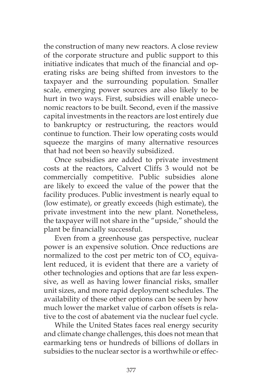the construction of many new reactors. A close review of the corporate structure and public support to this initiative indicates that much of the financial and operating risks are being shifted from investors to the taxpayer and the surrounding population. Smaller scale, emerging power sources are also likely to be hurt in two ways. First, subsidies will enable uneconomic reactors to be built. Second, even if the massive capital investments in the reactors are lost entirely due to bankruptcy or restructuring, the reactors would continue to function. Their low operating costs would squeeze the margins of many alternative resources that had not been so heavily subsidized.

Once subsidies are added to private investment costs at the reactors, Calvert Cliffs 3 would not be commercially competitive. Public subsidies alone are likely to exceed the value of the power that the facility produces. Public investment is nearly equal to (low estimate), or greatly exceeds (high estimate), the private investment into the new plant. Nonetheless, the taxpayer will not share in the "upside," should the plant be financially successful.

Even from a greenhouse gas perspective, nuclear power is an expensive solution. Once reductions are normalized to the cost per metric ton of  $\mathrm{CO}_2$  equivalent reduced, it is evident that there are a variety of other technologies and options that are far less expensive, as well as having lower financial risks, smaller unit sizes, and more rapid deployment schedules. The availability of these other options can be seen by how much lower the market value of carbon offsets is relative to the cost of abatement via the nuclear fuel cycle.

While the United States faces real energy security and climate change challenges, this does not mean that earmarking tens or hundreds of billions of dollars in subsidies to the nuclear sector is a worthwhile or effec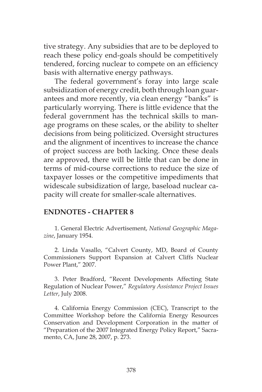tive strategy. Any subsidies that are to be deployed to reach these policy end-goals should be competitively tendered, forcing nuclear to compete on an efficiency basis with alternative energy pathways.

The federal government's foray into large scale subsidization of energy credit, both through loan guarantees and more recently, via clean energy "banks" is particularly worrying. There is little evidence that the federal government has the technical skills to manage programs on these scales, or the ability to shelter decisions from being politicized. Oversight structures and the alignment of incentives to increase the chance of project success are both lacking. Once these deals are approved, there will be little that can be done in terms of mid-course corrections to reduce the size of taxpayer losses or the competitive impediments that widescale subsidization of large, baseload nuclear capacity will create for smaller-scale alternatives.

### **ENDNOTES - CHAPTER 8**

1. General Electric Advertisement, *National Geographic Magazine*, January 1954.

2. Linda Vasallo, "Calvert County, MD, Board of County Commissioners Support Expansion at Calvert Cliffs Nuclear Power Plant," 2007.

3. Peter Bradford, "Recent Developments Affecting State Regulation of Nuclear Power," *Regulatory Assistance Project Issues Letter*, July 2008.

4. California Energy Commission (CEC), Transcript to the Committee Workshop before the California Energy Resources Conservation and Development Corporation in the matter of "Preparation of the 2007 Integrated Energy Policy Report," Sacramento, CA, June 28, 2007, p. 273.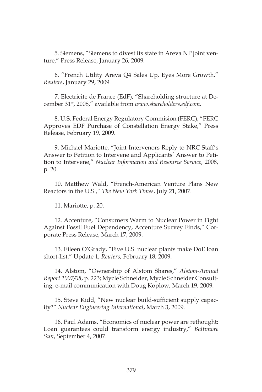5. Siemens, "Siemens to divest its state in Areva NP joint venture," Press Release, January 26, 2009.

6. "French Utility Areva Q4 Sales Up, Eyes More Growth," *Reuters*, January 29, 2009.

7. Electricite de France (EdF), "Shareholding structure at December 31st, 2008," available from *www.shareholders.edf.com*.

8. U.S. Federal Energy Regulatory Commision (FERC), "FERC Approves EDF Purchase of Constellation Energy Stake," Press Release, February 19, 2009.

9. Michael Mariotte, "Joint Intervenors Reply to NRC Staff's Answer to Petition to Intervene and Applicants' Answer to Petition to Intervene," *Nuclear Information and Resource Service*, 2008, p. 20.

10. Matthew Wald, "French-American Venture Plans New Reactors in the U.S.," *The New York Times*, July 21, 2007.

11. Mariotte, p. 20.

12. Accenture, "Consumers Warm to Nuclear Power in Fight Against Fossil Fuel Dependency, Accenture Survey Finds," Corporate Press Release, March 17, 2009.

13. Eileen O'Grady, "Five U.S. nuclear plants make DoE loan short-list," Update 1, *Reuters*, February 18, 2009.

14. Alstom, "Ownership of Alstom Shares," *Alstom-Annual Report 2007/08*, p. 223; Mycle Schneider, Mycle Schneider Consulting, e-mail communication with Doug Koplow, March 19, 2009.

15. Steve Kidd, "New nuclear build-sufficient supply capacity?" *Nuclear Engineering International*, March 3, 2009.

16. Paul Adams, "Economics of nuclear power are rethought: Loan guarantees could transform energy industry," *Baltimore Sun*, September 4, 2007.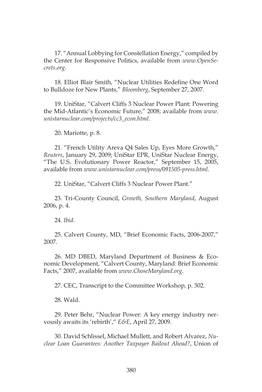17. "Annual Lobbying for Constellation Energy," compiled by the Center for Responsive Politics, available from *www.OpenSecrets.org*.

18. Elliot Blair Smith, "Nuclear Utilities Redefine One Word to Bulldoze for New Plants," *Bloomberg*, September 27, 2007.

19. UniStar, "Calvert Cliffs 3 Nuclear Power Plant: Powering the Mid-Atlantic's Economic Future," 2008; available from *www. unistarnuclear.com/projects/cc3\_econ.html*.

20. Mariotte, p. 8.

21. "French Utility Areva Q4 Sales Up, Eyes More Growth," *Reuters*, January 29, 2009; UniStar EPR, UniStar Nuclear Energy, "The U.S. Evolutionary Power Reactor," September 15, 2005, available from *www.unistarnuclear.com/press/091505-press.html*.

22. UniStar, "Calvert Cliffs 3 Nuclear Power Plant."

23. Tri-County Council, *Growth, Southern Maryland*, August 2006, p. 4.

24. *Ibid*.

25. Calvert County, MD, "Brief Economic Facts, 2006-2007," 2007.

26. MD DBED, Maryland Department of Business & Economic Development, "Calvert County, Maryland: Brief Economic Facts," 2007, available from *www.ChoseMaryland.org*.

27. CEC, Transcript to the Committee Workshop, p. 302.

28. Wald.

29. Peter Behr, "Nuclear Power: A key energy industry nervously awaits its 'rebirth'," *E&E*, April 27, 2009.

30. David Schlissel, Michael Mullett, and Robert Alvarez, *Nuclear Loan Guarantees: Another Taxpayer Bailout Ahead?*, Union of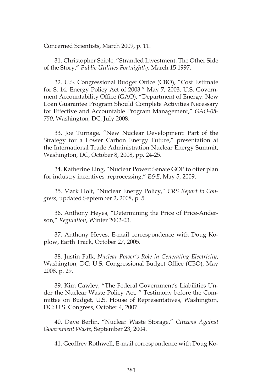Concerned Scientists, March 2009, p. 11.

31. Christopher Seiple, "Stranded Investment: The Other Side of the Story," *Public Utilities Fortnightly*, March 15 1997.

32. U.S. Congressional Budget Office (CBO), "Cost Estimate for S. 14, Energy Policy Act of 2003," May 7, 2003. U.S. Government Accountability Office (GAO), "Department of Energy: New Loan Guarantee Program Should Complete Activities Necessary for Effective and Accountable Program Management," *GAO-08- 750*, Washington, DC, July 2008.

33. Joe Turnage, "New Nuclear Development: Part of the Strategy for a Lower Carbon Energy Future," presentation at the International Trade Administration Nuclear Energy Summit, Washington, DC, October 8, 2008, pp. 24-25.

34. Katherine Ling, "Nuclear Power: Senate GOP to offer plan for industry incentives, reprocessing," *E&E*, May 5, 2009.

35. Mark Holt, "Nuclear Energy Policy," *CRS Report to Congress*, updated September 2, 2008, p. 5.

36. Anthony Heyes, "Determining the Price of Price-Anderson," *Regulation*, Winter 2002-03.

37. Anthony Heyes, E-mail correspondence with Doug Koplow, Earth Track, October 27, 2005.

38. Justin Falk, *Nuclear Power's Role in Generating Electricity*, Washington, DC: U.S. Congressional Budget Office (CBO), May 2008, p. 29.

39. Kim Cawley, "The Federal Government's Liabilities Under the Nuclear Waste Policy Act, " Testimony before the Committee on Budget, U.S. House of Representatives, Washington, DC: U.S. Congress, October 4, 2007.

40. Dave Berlin, "Nuclear Waste Storage," *Citizens Against Government Waste*, September 23, 2004.

41. Geoffrey Rothwell, E-mail correspondence with Doug Ko-